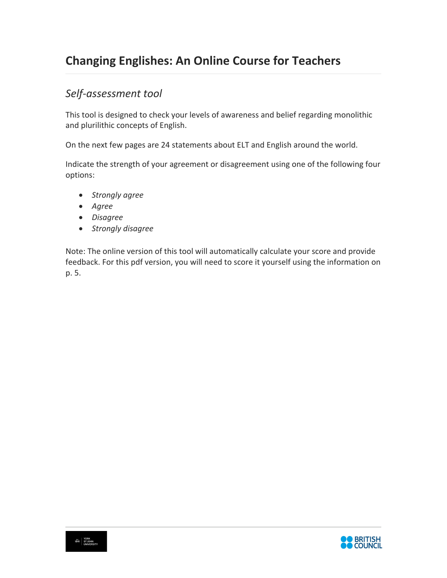# **Changing Englishes: An Online Course for Teachers**

## *Self-assessment tool*

This tool is designed to check your levels of awareness and belief regarding monolithic and plurilithic concepts of English.

On the next few pages are 24 statements about ELT and English around the world.

Indicate the strength of your agreement or disagreement using one of the following four options:

- *Strongly agree*
- *Agree*
- *Disagree*
- *Strongly disagree*

Note: The online version of this tool will automatically calculate your score and provide feedback. For this pdf version, you will need to score it yourself using the information on p. 5.

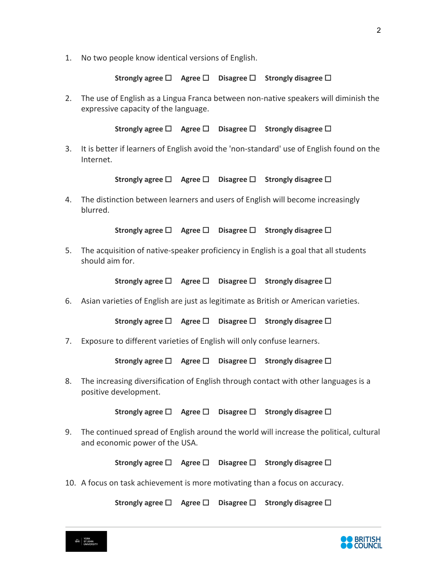1. No two people know identical versions of English.

**Strongly agree** ☐ **Agree** ☐ **Disagree** ☐ **Strongly disagree** ☐

2. The use of English as a Lingua Franca between non-native speakers will diminish the expressive capacity of the language.

**Strongly agree** ☐ **Agree** ☐ **Disagree** ☐ **Strongly disagree** ☐

3. It is better if learners of English avoid the 'non-standard' use of English found on the Internet.

**Strongly agree** ☐ **Agree** ☐ **Disagree** ☐ **Strongly disagree** ☐

4. The distinction between learners and users of English will become increasingly blurred.

**Strongly agree** ☐ **Agree** ☐ **Disagree** ☐ **Strongly disagree** ☐

5. The acquisition of native-speaker proficiency in English is a goal that all students should aim for.

**Strongly agree** ☐ **Agree** ☐ **Disagree** ☐ **Strongly disagree** ☐

6. Asian varieties of English are just as legitimate as British or American varieties.

**Strongly agree** ☐ **Agree** ☐ **Disagree** ☐ **Strongly disagree** ☐

7. Exposure to different varieties of English will only confuse learners.

**Strongly agree** ☐ **Agree** ☐ **Disagree** ☐ **Strongly disagree** ☐

8. The increasing diversification of English through contact with other languages is a positive development.

**Strongly agree** ☐ **Agree** ☐ **Disagree** ☐ **Strongly disagree** ☐

9. The continued spread of English around the world will increase the political, cultural and economic power of the USA.

**Strongly agree** ☐ **Agree** ☐ **Disagree** ☐ **Strongly disagree** ☐

10. A focus on task achievement is more motivating than a focus on accuracy.

**Strongly agree** ☐ **Agree** ☐ **Disagree** ☐ **Strongly disagree** ☐



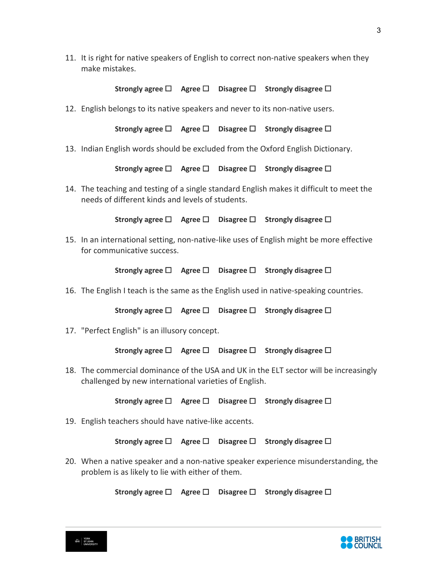11. It is right for native speakers of English to correct non-native speakers when they make mistakes.

**Strongly agree** ☐ **Agree** ☐ **Disagree** ☐ **Strongly disagree** ☐

12. English belongs to its native speakers and never to its non-native users.

**Strongly agree** ☐ **Agree** ☐ **Disagree** ☐ **Strongly disagree** ☐

13. Indian English words should be excluded from the Oxford English Dictionary.

**Strongly agree** ☐ **Agree** ☐ **Disagree** ☐ **Strongly disagree** ☐

14. The teaching and testing of a single standard English makes it difficult to meet the needs of different kinds and levels of students.

**Strongly agree** ☐ **Agree** ☐ **Disagree** ☐ **Strongly disagree** ☐

15. In an international setting, non-native-like uses of English might be more effective for communicative success.

**Strongly agree** ☐ **Agree** ☐ **Disagree** ☐ **Strongly disagree** ☐

16. The English I teach is the same as the English used in native-speaking countries.

**Strongly agree** ☐ **Agree** ☐ **Disagree** ☐ **Strongly disagree** ☐

17. "Perfect English" is an illusory concept.

**Strongly agree** ☐ **Agree** ☐ **Disagree** ☐ **Strongly disagree** ☐

18. The commercial dominance of the USA and UK in the ELT sector will be increasingly challenged by new international varieties of English.

**Strongly agree** ☐ **Agree** ☐ **Disagree** ☐ **Strongly disagree** ☐

19. English teachers should have native-like accents.

**Strongly agree** ☐ **Agree** ☐ **Disagree** ☐ **Strongly disagree** ☐

20. When a native speaker and a non-native speaker experience misunderstanding, the problem is as likely to lie with either of them.

**Strongly agree** ☐ **Agree** ☐ **Disagree** ☐ **Strongly disagree** ☐



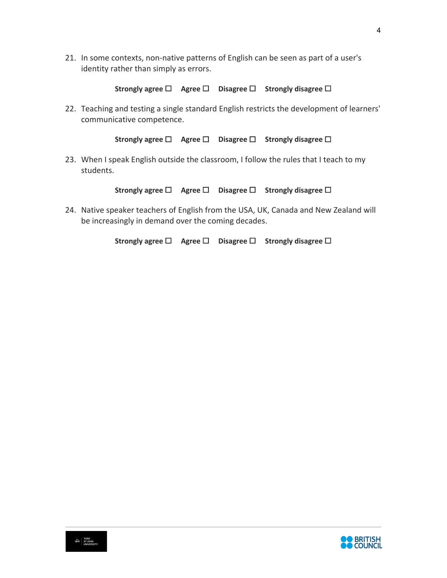21. In some contexts, non-native patterns of English can be seen as part of a user's identity rather than simply as errors.

```
Strongly agree ☐ Agree ☐ Disagree ☐ Strongly disagree ☐
```
22. Teaching and testing a single standard English restricts the development of learners' communicative competence.

**Strongly agree** ☐ **Agree** ☐ **Disagree** ☐ **Strongly disagree** ☐

23. When I speak English outside the classroom, I follow the rules that I teach to my students.

**Strongly agree** ☐ **Agree** ☐ **Disagree** ☐ **Strongly disagree** ☐

24. Native speaker teachers of English from the USA, UK, Canada and New Zealand will be increasingly in demand over the coming decades.

**Strongly agree** ☐ **Agree** ☐ **Disagree** ☐ **Strongly disagree** ☐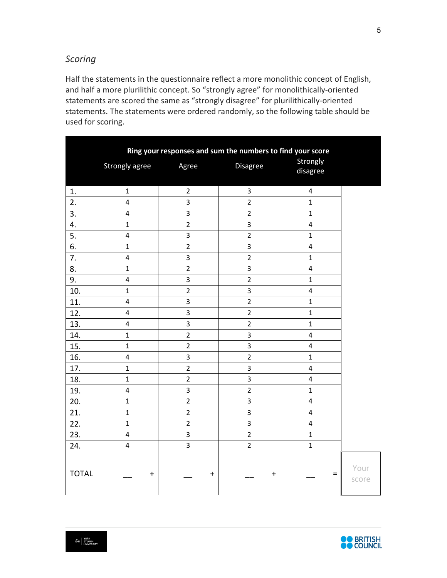### *Scoring*

Half the statements in the questionnaire reflect a more monolithic concept of English, and half a more plurilithic concept. So "strongly agree" for monolithically-oriented statements are scored the same as "strongly disagree" for plurilithically-oriented statements. The statements were ordered randomly, so the following table should be used for scoring.

|              | Ring your responses and sum the numbers to find your score |                |                         |                         |               |
|--------------|------------------------------------------------------------|----------------|-------------------------|-------------------------|---------------|
|              | Strongly agree                                             | Agree          | Disagree                | Strongly<br>disagree    |               |
| 1.           | $\mathbf{1}$                                               | $\overline{2}$ | $\overline{\mathbf{3}}$ | $\overline{\mathbf{4}}$ |               |
| 2.           | $\overline{4}$                                             | 3              | $\overline{2}$          | $\mathbf{1}$            |               |
| 3.           | $\overline{\mathbf{4}}$                                    | 3              | $\overline{2}$          | $\mathbf{1}$            |               |
| 4.           | $\mathbf 1$                                                | $\overline{2}$ | 3                       | $\overline{\mathbf{4}}$ |               |
| 5.           | $\pmb{4}$                                                  | 3              | $\overline{2}$          | $\mathbf 1$             |               |
| 6.           | $\mathbf{1}$                                               | $\overline{2}$ | 3                       | $\overline{\mathbf{4}}$ |               |
| 7.           | $\overline{\mathbf{4}}$                                    | 3              | $\overline{2}$          | $\mathbf{1}$            |               |
| 8.           | $\mathbf{1}$                                               | $\overline{2}$ | 3                       | $\overline{\mathbf{4}}$ |               |
| 9.           | $\overline{4}$                                             | 3              | $\overline{2}$          | $\mathbf 1$             |               |
| 10.          | $\mathbf{1}$                                               | $\overline{2}$ | 3                       | 4                       |               |
| 11.          | $\overline{4}$                                             | 3              | $\overline{2}$          | $\mathbf{1}$            |               |
| 12.          | $\overline{\mathbf{4}}$                                    | $\overline{3}$ | $\overline{2}$          | $\overline{1}$          |               |
| 13.          | $\overline{\mathbf{4}}$                                    | 3              | $\overline{2}$          | $\mathbf{1}$            |               |
| 14.          | $\mathbf 1$                                                | $\overline{2}$ | 3                       | $\overline{\mathbf{4}}$ |               |
| 15.          | $\mathbf{1}$                                               | $\overline{2}$ | 3                       | $\overline{\mathbf{4}}$ |               |
| 16.          | $\overline{\mathbf{4}}$                                    | 3              | $\overline{2}$          | $\mathbf{1}$            |               |
| 17.          | $\mathbf{1}$                                               | $\overline{2}$ | 3                       | $\overline{\mathbf{4}}$ |               |
| 18.          | $\mathbf 1$                                                | $\overline{2}$ | $\overline{\mathbf{3}}$ | $\overline{\mathbf{4}}$ |               |
| 19.          | $\overline{4}$                                             | 3              | $\overline{2}$          | $\mathbf{1}$            |               |
| 20.          | $\mathbf 1$                                                | $\overline{2}$ | 3                       | $\overline{\mathbf{4}}$ |               |
| 21.          | $\mathbf{1}$                                               | $\overline{2}$ | 3                       | $\overline{\mathbf{4}}$ |               |
| 22.          | $\mathbf{1}$                                               | $\overline{2}$ | 3                       | $\overline{\mathbf{4}}$ |               |
| 23.          | $\overline{\mathbf{4}}$                                    | $\overline{3}$ | $\overline{2}$          | $\mathbf 1$             |               |
| 24.          | $\overline{4}$                                             | 3              | $\overline{2}$          | $\mathbf 1$             |               |
| <b>TOTAL</b> | $\mathbf +$                                                | $\pm$          | $\boldsymbol{+}$        | $=$                     | Your<br>score |



5